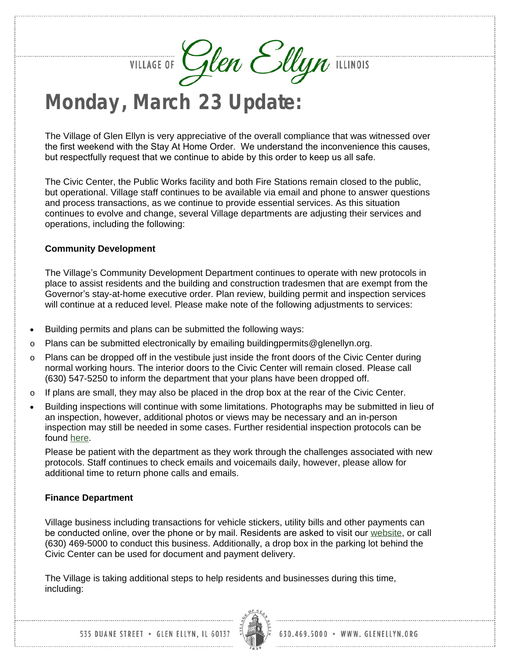VILLAGE OF Glen Ellyn ILLINOIS

## **Monday, March 23 Update:**

The Village of Glen Ellyn is very appreciative of the overall compliance that was witnessed over the first weekend with the Stay At Home Order. We understand the inconvenience this causes, but respectfully request that we continue to abide by this order to keep us all safe.

The Civic Center, the Public Works facility and both Fire Stations remain closed to the public, but operational. Village staff continues to be available via email and phone to answer questions and process transactions, as we continue to provide essential services. As this situation continues to evolve and change, several Village departments are adjusting their services and operations, including the following:

## **Community Development**

The Village's Community Development Department continues to operate with new protocols in place to assist residents and the building and construction tradesmen that are exempt from the Governor's stay-at-home executive order. Plan review, building permit and inspection services will continue at a reduced level. Please make note of the following adjustments to services:

- Building permits and plans can be submitted the following ways:
- o Plans can be submitted electronically by emailing buildingpermits@glenellyn.org.
- Plans can be dropped off in the vestibule just inside the front doors of the Civic Center during normal working hours. The interior doors to the Civic Center will remain closed. Please call (630) 547-5250 to inform the department that your plans have been dropped off.
- $\circ$  If plans are small, they may also be placed in the drop box at the rear of the Civic Center.
- Building inspections will continue with some limitations. Photographs may be submitted in lieu of an inspection, however, additional photos or views may be necessary and an in-person inspection may still be needed in some cases. Further residential inspection protocols can be found [here.](https://www.glenellyn.org/DocumentCenter/View/1666/Residential-Inspection-Protocal-COVID-19)

Please be patient with the department as they work through the challenges associated with new protocols. Staff continues to check emails and voicemails daily, however, please allow for additional time to return phone calls and emails.

## **Finance Department**

Village business including transactions for vehicle stickers, utility bills and other payments can be conducted online, over the phone or by mail. Residents are asked to visit our [website,](http://www.glenellyn.org/) or call (630) 469-5000 to conduct this business. Additionally, a drop box in the parking lot behind the Civic Center can be used for document and payment delivery.

The Village is taking additional steps to help residents and businesses during this time, including:

535 DUANE STREET . GLEN ELLYN, IL 60137

630.469.5000 · WWW. GLENELLYN.ORG